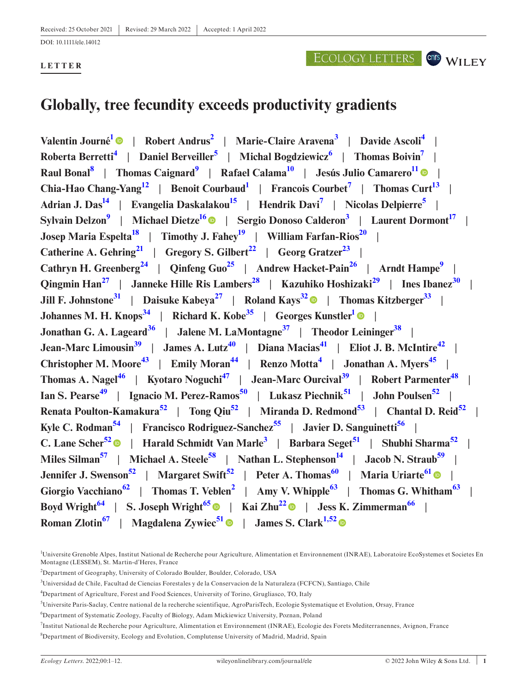### **LETTER**

# ECOLOGY LETTERS CONS WILEY

# **Globally, tree fecundity exceeds productivity gradients**

**Valentin Journ[é1](#page-0-0)** | **Robert Andrus[2](#page-0-1)** | **Marie-Claire Aravena[3](#page-0-2)** | **Davide Ascoli[4](#page-0-3)** | **Roberta Berretti[4](#page-0-3)** | **Daniel Berveiller[5](#page-0-4)** | **Michal Bogdziewicz[6](#page-0-5)** | **Thomas Boivi[n7](#page-0-6)** | **Raul Bonal[8](#page-0-7)** | **Thomas Caignard[9](#page-1-0)** | **Rafael Calam[a10](#page-1-1)** | **Jesús Julio Camarer[o11](#page-1-2)** | **Chia-Hao Chang-Yan[g12](#page-1-3)** | **Benoit Courbaud[1](#page-0-0)** | **Francois Courbet[7](#page-0-6)** | **Thomas Cur[t13](#page-1-4)** | Adrian J. Das<sup>14</sup> | Evangelia Daskalakou<sup>1[5](#page-0-4)</sup> | Hendrik Davi<sup>7</sup> | Nicolas Delpierre<sup>5</sup> | **Sylvain Delzon[9](#page-1-0)** | **Michael Dietz[e16](#page-1-7)** | **Sergio Donoso Calderon[3](#page-0-2)** | **Laurent Dormon[t17](#page-1-8)** | **Josep Maria Espelt[a18](#page-1-9)** | **Timothy J. Fahe[y19](#page-1-10)** | **William Farfan-Rios[20](#page-1-11)** | **Catherine A. Gehring**<sup>[21](#page-1-12)</sup> | Gregory S. Gilbert<sup>[22](#page-1-13)</sup> | Georg Gratzer<sup>23</sup> | **Cathryn H. Greenberg**<sup>[24](#page-1-15)</sup> | Qinfeng Guo<sup>25</sup> | Andrew Hacket-Pain<sup>[26](#page-1-17)</sup> | Arndt Hampe<sup>9</sup> | **Qingmin Han[27](#page-1-18)** | **Janneke Hille Ris Lambers[28](#page-1-19)** | **Kazuhiko Hoshizaki[29](#page-1-20)** | **Ines Ibanez[30](#page-1-21)** | **Jill F. Johnstone[31](#page-1-22)** | **Daisuke Kabeya[27](#page-1-18)** | **Roland Kays[32](#page-1-23)** | **Thomas Kitzberge[r33](#page-1-24)** | **Johannes M. H. Knops[34](#page-1-25)** | **Richard K. Kobe[35](#page-1-26)** | **Georges Kunstle[r1](#page-0-0)** | **Jonathan G. A. Lageard[36](#page-1-27)** | **Jalene M. LaMontagne[37](#page-1-28)** | **Theodor Leininge[r38](#page-1-29)** | **Jean-Marc Limousin[39](#page-1-30)** | **James A. Lutz[40](#page-1-31)** | **Diana Macias[41](#page-1-32)** | **Eliot J. B. McIntire[42](#page-1-33)** | **Christopher M. Moore[43](#page-1-34)** | **Emily Moran[44](#page-1-35)** | **Renzo Motta[4](#page-0-3)** | **Jonathan A. Myers[45](#page-1-36)** | **Thomas A. Nagel[46](#page-1-37)** | **Kyotaro Noguchi[47](#page-1-38)** | **Jean-Marc Ourcival[39](#page-1-30)** | **Robert Parmente[r48](#page-1-39)** | **Ian S. Pearse[49](#page-1-40)** | **Ignacio M. Perez-Ramos[50](#page-1-41)** | **Lukasz Piechnik[51](#page-1-42)** | **John Poulsen[52](#page-1-43)** | **Renata Poulton-Kamakura[52](#page-1-43)** | **Tong Qiu[52](#page-1-43)** | **Miranda D. Redmond[53](#page-1-44)** | **Chantal D. Reid[52](#page-1-43)** | **Kyle C. Rodman[54](#page-1-45)** | **Francisco Rodriguez-Sanchez[55](#page-1-46)** | **Javier D. Sanguinetti[56](#page-1-47)** | **C. Lane Scher[52](#page-1-43)** | **Harald Schmidt Van Marle[3](#page-0-2)** | **Barbara Seget[51](#page-1-42)** | **Shubhi Sharma[52](#page-1-43)** | **Miles Silman[57](#page-1-48)** | **Michael A. Steele[58](#page-1-49)** | **Nathan L. Stephenson[14](#page-1-5)** | **Jacob N. Straub[59](#page-1-50)** | **Jennifer J. Swenson[52](#page-1-43)** | **Margaret Swift[52](#page-1-43)** | **Peter A. Thomas[60](#page-1-51)** | **Maria Uriarte[61](#page-1-52)** | **Giorgio Vacchiano[62](#page-1-53)** | **Thomas T. Veblen[2](#page-0-1)** | **Amy V. Whipple[63](#page-1-54)** | **Thomas G. Whitham[63](#page-1-54)** | **Boyd Wright**<sup>[64](#page-1-55)</sup> | S. Joseph Wright<sup>[65](#page-2-0)</sup> | Kai Zhu<sup>[22](#page-1-13)</sup> | Jess K. Zimmerman<sup>[66](#page-2-1)</sup> | **Roman Zlotin[67](#page-2-2)** | **Magdalena Zywiec[51](#page-1-42)** | **James S. Clar[k1,52](#page-0-0)**

<span id="page-0-0"></span><sup>&</sup>lt;sup>1</sup>Universite Grenoble Alpes, Institut National de Recherche pour Agriculture, Alimentation et Environnement (INRAE), Laboratoire EcoSystemes et Societes En Montagne (LESSEM), St. Martin-d'Heres, France

<span id="page-0-1"></span><sup>&</sup>lt;sup>2</sup>Department of Geography, University of Colorado Boulder, Boulder, Colorado, USA

<span id="page-0-2"></span><sup>3</sup> Universidad de Chile, Facultad de Ciencias Forestales y de la Conservacion de la Naturaleza (FCFCN), Santiago, Chile

<span id="page-0-3"></span><sup>4</sup> Department of Agriculture, Forest and Food Sciences, University of Torino, Grugliasco, TO, Italy

<span id="page-0-4"></span><sup>5</sup> Universite Paris-Saclay, Centre national de la recherche scientifique, AgroParisTech, Ecologie Systematique et Evolution, Orsay, France

<span id="page-0-5"></span><sup>6</sup> Department of Systematic Zoology, Faculty of Biology, Adam Mickiewicz University, Poznan, Poland

<span id="page-0-7"></span><span id="page-0-6"></span><sup>&</sup>lt;sup>7</sup>Institut National de Recherche pour Agriculture, Alimentation et Environnement (INRAE), Ecologie des Forets Mediterranennes, Avignon, France <sup>8</sup>Department of Biodiversity, Ecology and Evolution, Complutense University of Madrid, Madrid, Spain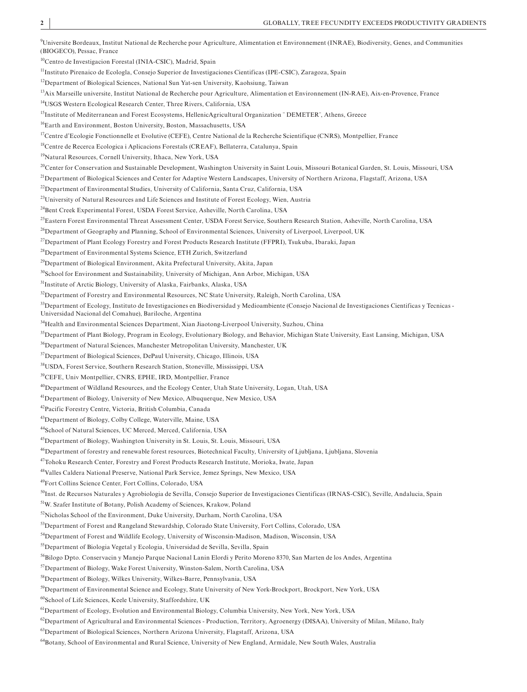<span id="page-1-0"></span>9 Universite Bordeaux, Institut National de Recherche pour Agriculture, Alimentation et Environnement (INRAE), Biodiversity, Genes, and Communities (BIOGECO), Pessac, France

<span id="page-1-1"></span><sup>10</sup>Centro de Investigacion Forestal (INIA-CSIC), Madrid, Spain

<span id="page-1-2"></span>11Instituto Pirenaico de Ecologla, Consejo Superior de Investigaciones Cientificas (IPE-CSIC), Zaragoza, Spain

<span id="page-1-3"></span><sup>12</sup>Department of Biological Sciences, National Sun Yat-sen University, Kaohsiung, Taiwan

<span id="page-1-4"></span><sup>13</sup>Aix Marseille universite, Institut National de Recherche pour Agriculture, Alimentation et Environnement (IN-RAE), Aix-en-Provence, France

<span id="page-1-5"></span><sup>14</sup>USGS Western Ecological Research Center, Three Rivers, California, USA

<span id="page-1-6"></span>15Institute of Mediterranean and Forest Ecosystems, HellenicAgricultural Organization ¨ DEMETER¨, Athens, Greece

<span id="page-1-7"></span>16Earth and Environment, Boston University, Boston, Massachusetts, USA

<span id="page-1-8"></span><sup>17</sup>Centre d'Ecologie Fonctionnelle et Evolutive (CEFE), Centre National de la Recherche Scientifique (CNRS), Montpellier, France

<span id="page-1-9"></span><sup>18</sup>Centre de Recerca Ecologica i Aplicacions Forestals (CREAF), Bellaterra, Catalunya, Spain

<span id="page-1-10"></span>19Natural Resources, Cornell University, Ithaca, New York, USA

<span id="page-1-11"></span><sup>20</sup>Center for Conservation and Sustainable Development, Washington University in Saint Louis, Missouri Botanical Garden, St. Louis, Missouri, USA

<span id="page-1-12"></span><sup>21</sup>Department of Biological Sciences and Center for Adaptive Western Landscapes, University of Northern Arizona, Flagstaff, Arizona, USA

<span id="page-1-13"></span>22Department of Environmental Studies, University of California, Santa Cruz, California, USA

<span id="page-1-14"></span><sup>23</sup>University of Natural Resources and Life Sciences and Institute of Forest Ecology, Wien, Austria

<span id="page-1-15"></span><sup>24</sup>Bent Creek Experimental Forest, USDA Forest Service, Asheville, North Carolina, USA

<span id="page-1-16"></span>25Eastern Forest Environmental Threat Assessment Center, USDA Forest Service, Southern Research Station, Asheville, North Carolina, USA

<span id="page-1-17"></span><sup>26</sup>Department of Geography and Planning, School of Environmental Sciences, University of Liverpool, Liverpool, UK

<span id="page-1-18"></span>27Department of Plant Ecology Forestry and Forest Products Research Institute (FFPRI), Tsukuba, Ibaraki, Japan

<span id="page-1-19"></span><sup>28</sup>Department of Environmental Systems Science, ETH Zurich, Switzerland

<span id="page-1-20"></span><sup>29</sup>Department of Biological Environment, Akita Prefectural University, Akita, Japan

<span id="page-1-21"></span><sup>30</sup>School for Environment and Sustainability, University of Michigan, Ann Arbor, Michigan, USA

<span id="page-1-22"></span>31Institute of Arctic Biology, University of Alaska, Fairbanks, Alaska, USA

<span id="page-1-23"></span><sup>32</sup>Department of Forestry and Environmental Resources, NC State University, Raleigh, North Carolina, USA

<span id="page-1-24"></span> $33$ Department of Ecology, Instituto de Investigaciones en Biodiversidad y Medioambiente (Consejo Nacional de Investigaciones Científicas y Tecnicas -Universidad Nacional del Comahue), Bariloche, Argentina

<span id="page-1-25"></span><sup>34</sup>Health and Environmental Sciences Department, Xian Jiaotong-Liverpool University, Suzhou, China

<span id="page-1-26"></span><sup>35</sup>Department of Plant Biology, Program in Ecology, Evolutionary Biology, and Behavior, Michigan State University, East Lansing, Michigan, USA

<span id="page-1-27"></span><sup>36</sup>Department of Natural Sciences, Manchester Metropolitan University, Manchester, UK

<span id="page-1-28"></span><sup>37</sup>Department of Biological Sciences, DePaul University, Chicago, Illinois, USA

<span id="page-1-29"></span>38USDA, Forest Service, Southern Research Station, Stoneville, Mississippi, USA

<span id="page-1-30"></span>39CEFE, Univ Montpellier, CNRS, EPHE, IRD, Montpellier, France

<span id="page-1-31"></span>40Department of Wildland Resources, and the Ecology Center, Utah State University, Logan, Utah, USA

<span id="page-1-32"></span>41Department of Biology, University of New Mexico, Albuquerque, New Mexico, USA

<span id="page-1-33"></span>42Pacific Forestry Centre, Victoria, British Columbia, Canada

<span id="page-1-34"></span>43Department of Biology, Colby College, Waterville, Maine, USA

<span id="page-1-35"></span>44School of Natural Sciences, UC Merced, Merced, California, USA

<span id="page-1-36"></span>45Department of Biology, Washington University in St. Louis, St. Louis, Missouri, USA

<span id="page-1-37"></span><sup>46</sup>Department of forestry and renewable forest resources, Biotechnical Faculty, University of Ljubljana, Ljubljana, Slovenia

<span id="page-1-38"></span>47Tohoku Research Center, Forestry and Forest Products Research Institute, Morioka, Iwate, Japan

<span id="page-1-39"></span>48Valles Caldera National Preserve, National Park Service, Jemez Springs, New Mexico, USA

<span id="page-1-40"></span>49Fort Collins Science Center, Fort Collins, Colorado, USA

<span id="page-1-41"></span><sup>50</sup>Inst. de Recursos Naturales y Agrobiologia de Sevilla, Consejo Superior de Investigaciones Científicas (IRNAS-CSIC), Seville, Andalucia, Spain

<span id="page-1-42"></span>51W. Szafer Institute of Botany, Polish Academy of Sciences, Krakow, Poland

<span id="page-1-43"></span>52Nicholas School of the Environment, Duke University, Durham, North Carolina, USA

<span id="page-1-44"></span>53Department of Forest and Rangeland Stewardship, Colorado State University, Fort Collins, Colorado, USA

<span id="page-1-45"></span>54Department of Forest and Wildlife Ecology, University of Wisconsin-Madison, Madison, Wisconsin, USA

<span id="page-1-46"></span>55 Department of Biologia Vegetal y Ecologia, Universidad de Sevilla, Sevilla, Spain

<span id="page-1-47"></span><sup>56</sup>Bilogo Dpto. Conservacin y Manejo Parque Nacional Lanin Elordi y Perito Moreno 8370, San Marten de los Andes, Argentina

<span id="page-1-48"></span>57Department of Biology, Wake Forest University, Winston-Salem, North Carolina, USA

<span id="page-1-49"></span>58Department of Biology, Wilkes University, Wilkes-Barre, Pennsylvania, USA

<span id="page-1-50"></span>59Department of Environmental Science and Ecology, State University of New York-Brockport, Brockport, New York, USA

<span id="page-1-51"></span>60School of Life Sciences, Keele University, Staffordshire, UK

<span id="page-1-52"></span><sup>61</sup>Department of Ecology, Evolution and Environmental Biology, Columbia University, New York, New York, USA

<span id="page-1-53"></span> ${}^{62}$ Department of Agricultural and Environmental Sciences - Production, Territory, Agroenergy (DISAA), University of Milan, Milano, Italy

<span id="page-1-54"></span>63Department of Biological Sciences, Northern Arizona University, Flagstaff, Arizona, USA

<span id="page-1-55"></span><sup>64</sup>Botany, School of Environmental and Rural Science, University of New England, Armidale, New South Wales, Australia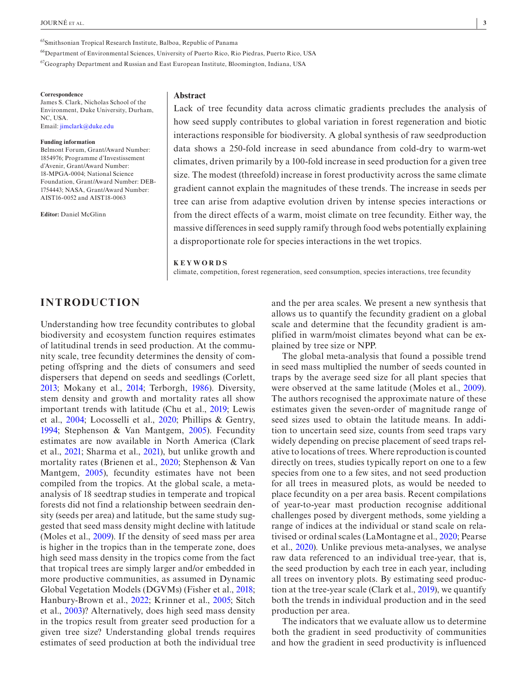#### <span id="page-2-0"></span>65Smithsonian Tropical Research Institute, Balboa, Republic of Panama

<span id="page-2-1"></span>66Department of Environmental Sciences, University of Puerto Rico, Rio Piedras, Puerto Rico, USA

<span id="page-2-2"></span>67Geography Department and Russian and East European Institute, Bloomington, Indiana, USA

**Correspondence** James S. Clark, Nicholas School of the Environment, Duke University, Durham, NC, USA. Email: [jimclark@duke.edu](mailto:jimclark@duke.edu)

#### **Funding information**

Belmont Forum, Grant/Award Number: 1854976; Programme d'Investissement d'Avenir, Grant/Award Number: 18-MPGA-0004; National Science Foundation, Grant/Award Number: DEB-1754443; NASA, Grant/Award Number: AIST16-0052 and AIST18-0063

**Editor:** Daniel McGlinn

#### **Abstract**

Lack of tree fecundity data across climatic gradients precludes the analysis of how seed supply contributes to global variation in forest regeneration and biotic interactions responsible for biodiversity. A global synthesis of raw seedproduction data shows a 250-fold increase in seed abundance from cold-dry to warm-wet climates, driven primarily by a 100-fold increase in seed production for a given tree size. The modest (threefold) increase in forest productivity across the same climate gradient cannot explain the magnitudes of these trends. The increase in seeds per tree can arise from adaptive evolution driven by intense species interactions or from the direct effects of a warm, moist climate on tree fecundity. Either way, the massive differences in seed supply ramify through food webs potentially explaining a disproportionate role for species interactions in the wet tropics.

#### **KEYWORDS**

climate, competition, forest regeneration, seed consumption, species interactions, tree fecundity

# **INTRODUCTION**

Understanding how tree fecundity contributes to global biodiversity and ecosystem function requires estimates of latitudinal trends in seed production. At the community scale, tree fecundity determines the density of competing offspring and the diets of consumers and seed dispersers that depend on seeds and seedlings (Corlett, [2013;](#page-10-0) Mokany et al., [2014;](#page-11-0) Terborgh, [1986](#page-11-1)). Diversity, stem density and growth and mortality rates all show important trends with latitude (Chu et al., [2019](#page-10-1); Lewis et al., [2004](#page-11-2); Locosselli et al., [2020](#page-11-3); Phillips & Gentry, [1994](#page-11-4); Stephenson & Van Mantgem, [2005\)](#page-11-5). Fecundity estimates are now available in North America (Clark et al., [2021;](#page-10-2) Sharma et al., [2021\)](#page-11-6), but unlike growth and mortality rates (Brienen et al., [2020](#page-10-3); Stephenson & Van Mantgem, [2005\)](#page-11-5), fecundity estimates have not been compiled from the tropics. At the global scale, a metaanalysis of 18 seedtrap studies in temperate and tropical forests did not find a relationship between seedrain density (seeds per area) and latitude, but the same study suggested that seed mass density might decline with latitude (Moles et al., [2009](#page-11-7)). If the density of seed mass per area is higher in the tropics than in the temperate zone, does high seed mass density in the tropics come from the fact that tropical trees are simply larger and/or embedded in more productive communities, as assumed in Dynamic Global Vegetation Models (DGVMs) (Fisher et al., [2018;](#page-10-4) Hanbury-Brown et al., [2022;](#page-10-5) Krinner et al., [2005;](#page-10-6) Sitch et al., [2003\)](#page-11-8)? Alternatively, does high seed mass density in the tropics result from greater seed production for a given tree size? Understanding global trends requires estimates of seed production at both the individual tree

and the per area scales. We present a new synthesis that allows us to quantify the fecundity gradient on a global scale and determine that the fecundity gradient is amplified in warm/moist climates beyond what can be explained by tree size or NPP.

The global meta-analysis that found a possible trend in seed mass multiplied the number of seeds counted in traps by the average seed size for all plant species that were observed at the same latitude (Moles et al., [2009\)](#page-11-7). The authors recognised the approximate nature of these estimates given the seven-order of magnitude range of seed sizes used to obtain the latitude means. In addition to uncertain seed size, counts from seed traps vary widely depending on precise placement of seed traps relative to locations of trees. Where reproduction is counted directly on trees, studies typically report on one to a few species from one to a few sites, and not seed production for all trees in measured plots, as would be needed to place fecundity on a per area basis. Recent compilations of year-to-year mast production recognise additional challenges posed by divergent methods, some yielding a range of indices at the individual or stand scale on relativised or ordinal scales (LaMontagne et al., [2020;](#page-11-9) Pearse et al., [2020\)](#page-11-10). Unlike previous meta-analyses, we analyse raw data referenced to an individual tree-year, that is, the seed production by each tree in each year, including all trees on inventory plots. By estimating seed production at the tree-year scale (Clark et al., [2019\)](#page-10-7), we quantify both the trends in individual production and in the seed production per area.

The indicators that we evaluate allow us to determine both the gradient in seed productivity of communities and how the gradient in seed productivity is influenced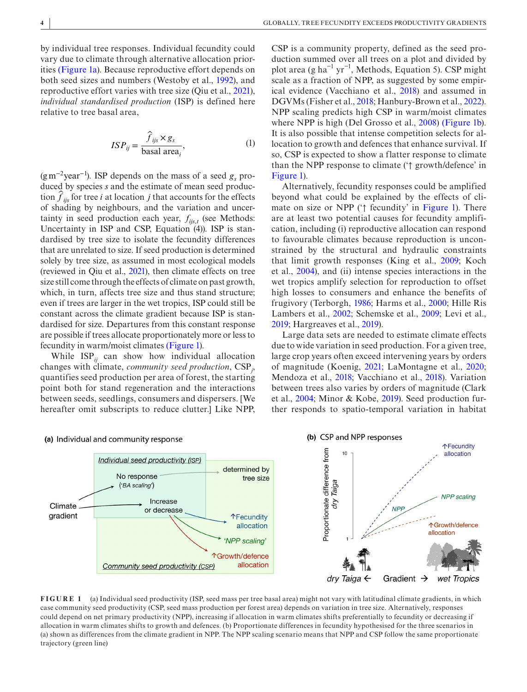by individual tree responses. Individual fecundity could vary due to climate through alternative allocation priorities (Figure [1a](#page-3-0)). Because reproductive effort depends on both seed sizes and numbers (Westoby et al., [1992](#page-11-11)), and reproductive effort varies with tree size (Qiu et al., [2021\)](#page-11-12), *individual standardised production* (ISP) is defined here relative to tree basal area,

$$
ISP_{ij} = \frac{\hat{f}_{ijs} \times g_s}{\text{basal area}_i},\tag{1}
$$

(g m<sup>-2</sup>year<sup>-1</sup>). ISP depends on the mass of a seed  $g_s$  produced by species *s* and the estimate of mean seed production  $f_{ijs}$  for tree *i* at location *j* that accounts for the effects of shading by neighbours, and the variation and uncertainty in seed production each year,  $f_{ijs,t}$  (see Methods: Uncertainty in ISP and CSP, Equation (4)). ISP is standardised by tree size to isolate the fecundity differences that are unrelated to size. If seed production is determined solely by tree size, as assumed in most ecological models (reviewed in Qiu et al., [2021\)](#page-11-12), then climate effects on tree size still come through the effects of climate on past growth, which, in turn, affects tree size and thus stand structure; even if trees are larger in the wet tropics, ISP could still be constant across the climate gradient because ISP is standardised for size. Departures from this constant response are possible if trees allocate proportionately more or less to fecundity in warm/moist climates (Figure [1](#page-3-0)).

While  $ISP_{ii}$  can show how individual allocation changes with climate, *community seed production*, CSP*<sup>j</sup>* , quantifies seed production per area of forest, the starting point both for stand regeneration and the interactions between seeds, seedlings, consumers and dispersers. [We hereafter omit subscripts to reduce clutter.] Like NPP,

CSP is a community property, defined as the seed production summed over all trees on a plot and divided by plot area (g ha<sup>-1</sup> yr<sup>-1</sup>, Methods, Equation 5). CSP might scale as a fraction of NPP, as suggested by some empirical evidence (Vacchiano et al., [2018\)](#page-11-13) and assumed in DGVMs (Fisher et al., [2018](#page-10-4); Hanbury-Brown et al., [2022\)](#page-10-5). NPP scaling predicts high CSP in warm/moist climates where NPP is high (Del Grosso et al., [2008](#page-10-8)) (Figure [1b\)](#page-3-0). It is also possible that intense competition selects for allocation to growth and defences that enhance survival. If so, CSP is expected to show a flatter response to climate than the NPP response to climate ('↑ growth/defence' in Figure [1](#page-3-0)).

Alternatively, fecundity responses could be amplified beyond what could be explained by the effects of climate on size or NPP ('↑ fecundity' in Figure [1\)](#page-3-0). There are at least two potential causes for fecundity amplification, including (i) reproductive allocation can respond to favourable climates because reproduction is unconstrained by the structural and hydraulic constraints that limit growth responses (King et al., [2009](#page-10-9); Koch et al., [2004](#page-10-10)), and (ii) intense species interactions in the wet tropics amplify selection for reproduction to offset high losses to consumers and enhance the benefits of frugivory (Terborgh, [1986](#page-11-1); Harms et al., [2000;](#page-10-11) Hille Ris Lambers et al., [2002](#page-10-12); Schemske et al., [2009](#page-11-14); Levi et al., [2019;](#page-11-15) Hargreaves et al., [2019\)](#page-10-13).

Large data sets are needed to estimate climate effects due to wide variation in seed production. For a given tree, large crop years often exceed intervening years by orders of magnitude (Koenig, [2021](#page-10-14); LaMontagne et al., [2020;](#page-11-9) Mendoza et al., [2018;](#page-11-16) Vacchiano et al., [2018](#page-11-13)). Variation between trees also varies by orders of magnitude (Clark et al., [2004](#page-10-15); Minor & Kobe, [2019](#page-11-17)). Seed production further responds to spatio-temporal variation in habitat



#### <span id="page-3-0"></span>**FIGURE 1** (a) Individual seed productivity (ISP, seed mass per tree basal area) might not vary with latitudinal climate gradients, in which case community seed productivity (CSP, seed mass production per forest area) depends on variation in tree size. Alternatively, responses could depend on net primary productivity (NPP), increasing if allocation in warm climates shifts preferentially to fecundity or decreasing if allocation in warm climates shifts to growth and defences. (b) Proportionate differences in fecundity hypothesised for the three scenarios in (a) shown as differences from the climate gradient in NPP. The NPP scaling scenario means that NPP and CSP follow the same proportionate trajectory (green line)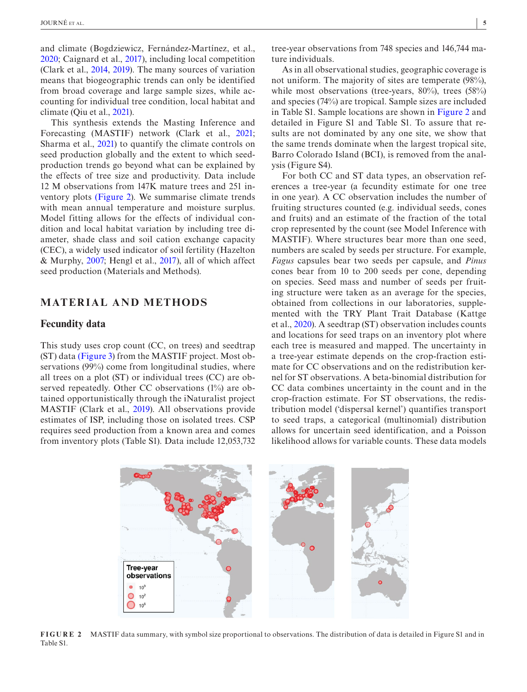and climate (Bogdziewicz, Fernández-Martínez, et al., [2020;](#page-10-16) Caignard et al., [2017](#page-10-17)), including local competition (Clark et al., [2014,](#page-10-18) [2019](#page-10-7)). The many sources of variation means that biogeographic trends can only be identified from broad coverage and large sample sizes, while accounting for individual tree condition, local habitat and climate (Qiu et al., [2021](#page-11-12)).

This synthesis extends the Masting Inference and Forecasting (MASTIF) network (Clark et al., [2021;](#page-10-2) Sharma et al., [2021\)](#page-11-6) to quantify the climate controls on seed production globally and the extent to which seedproduction trends go beyond what can be explained by the effects of tree size and productivity. Data include 12 M observations from 147K mature trees and 251 inventory plots (Figure [2\)](#page-4-0). We summarise climate trends with mean annual temperature and moisture surplus. Model fitting allows for the effects of individual condition and local habitat variation by including tree diameter, shade class and soil cation exchange capacity (CEC), a widely used indicator of soil fertility (Hazelton & Murphy, [2007](#page-10-19); Hengl et al., [2017](#page-10-20)), all of which affect seed production (Materials and Methods).

# **MATERIAL AND METHODS**

# **Fecundity data**

This study uses crop count (CC, on trees) and seedtrap (ST) data (Figure [3\)](#page-5-0) from the MASTIF project. Most observations (99%) come from longitudinal studies, where all trees on a plot (ST) or individual trees (CC) are observed repeatedly. Other CC observations (1%) are obtained opportunistically through the iNaturalist project MASTIF (Clark et al., [2019](#page-10-7)). All observations provide estimates of ISP, including those on isolated trees. CSP requires seed production from a known area and comes from inventory plots (Table S1). Data include 12,053,732

tree-year observations from 748 species and 146,744 mature individuals.

As in all observational studies, geographic coverage is not uniform. The majority of sites are temperate (98%), while most observations (tree-years, 80%), trees (58%) and species (74%) are tropical. Sample sizes are included in Table S1. Sample locations are shown in Figure [2](#page-4-0) and detailed in Figure S1 and Table S1. To assure that results are not dominated by any one site, we show that the same trends dominate when the largest tropical site, Barro Colorado Island (BCI), is removed from the analysis (Figure S4).

For both CC and ST data types, an observation references a tree-year (a fecundity estimate for one tree in one year). A CC observation includes the number of fruiting structures counted (e.g. individual seeds, cones and fruits) and an estimate of the fraction of the total crop represented by the count (see Model Inference with MASTIF). Where structures bear more than one seed, numbers are scaled by seeds per structure. For example, *Fagus* capsules bear two seeds per capsule, and *Pinus* cones bear from 10 to 200 seeds per cone, depending on species. Seed mass and number of seeds per fruiting structure were taken as an average for the species, obtained from collections in our laboratories, supplemented with the TRY Plant Trait Database (Kattge et al., [2020\)](#page-10-21). A seedtrap (ST) observation includes counts and locations for seed traps on an inventory plot where each tree is measured and mapped. The uncertainty in a tree-year estimate depends on the crop-fraction estimate for CC observations and on the redistribution kernel for ST observations. A beta-binomial distribution for CC data combines uncertainty in the count and in the crop-fraction estimate. For ST observations, the redistribution model ('dispersal kernel') quantifies transport to seed traps, a categorical (multinomial) distribution allows for uncertain seed identification, and a Poisson likelihood allows for variable counts. These data models



<span id="page-4-0"></span>**FIGURE 2** MASTIF data summary, with symbol size proportional to observations. The distribution of data is detailed in Figure S1 and in Table S1.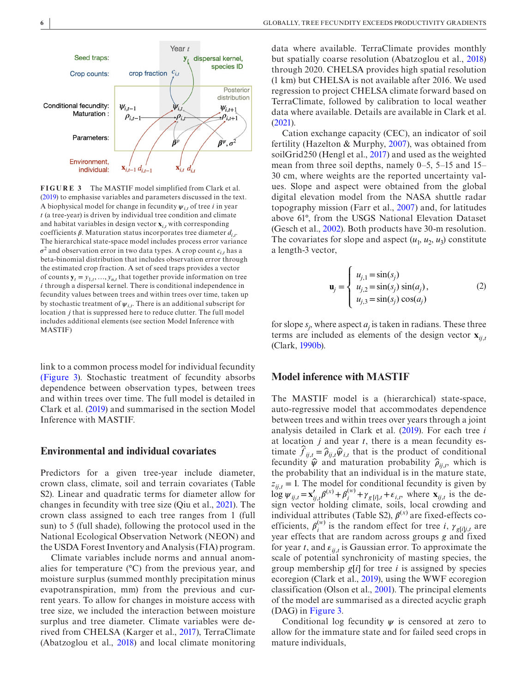

<span id="page-5-0"></span>**FIGURE 3** The MASTIF model simplified from Clark et al. [\(2019](#page-10-7)) to emphasise variables and parameters discussed in the text. A biophysical model for change in fecundity  $\psi_{i,t}$  of tree *i* in year *t* (a tree-year) is driven by individual tree condition and climate and habitat variables in design vector **x***i*,*<sup>t</sup>* with corresponding coefficients  $\beta$ . Maturation status incorporates tree diameter  $d_{i,t}$ . The hierarchical state-space model includes process error variance  $\sigma^2$  and observation error in two data types. A crop count  $c_{i,t}$  has a beta-binomial distribution that includes observation error through the estimated crop fraction. A set of seed traps provides a vector of counts  $\mathbf{y}_t = y_{1,t}, \dots, y_{n,t}$  that together provide information on tree *i* through a dispersal kernel. There is conditional independence in fecundity values between trees and within trees over time, taken up by stochastic treatment of  $\psi_{i,t}$ . There is an additional subscript for location *j* that is suppressed here to reduce clutter. The full model includes additional elements (see section Model Inference with MASTIF)

link to a common process model for individual fecundity (Figure [3](#page-5-0)). Stochastic treatment of fecundity absorbs dependence between observation types, between trees and within trees over time. The full model is detailed in Clark et al. [\(2019\)](#page-10-7) and summarised in the section Model Inference with MASTIF.

### **Environmental and individual covariates**

Predictors for a given tree-year include diameter, crown class, climate, soil and terrain covariates (Table S2). Linear and quadratic terms for diameter allow for changes in fecundity with tree size (Qiu et al., [2021](#page-11-12)). The crown class assigned to each tree ranges from 1 (full sun) to 5 (full shade), following the protocol used in the National Ecological Observation Network (NEON) and the USDA Forest Inventory and Analysis (FIA) program.

Climate variables include norms and annual anomalies for temperature (°C) from the previous year, and moisture surplus (summed monthly precipitation minus evapotranspiration, mm) from the previous and current years. To allow for changes in moisture access with tree size, we included the interaction between moisture surplus and tree diameter. Climate variables were derived from CHELSA (Karger et al., [2017\)](#page-10-22), TerraClimate (Abatzoglou et al., [2018](#page-10-23)) and local climate monitoring data where available. TerraClimate provides monthly but spatially coarse resolution (Abatzoglou et al., [2018](#page-10-23)) through 2020. CHELSA provides high spatial resolution (1 km) but CHELSA is not available after 2016. We used regression to project CHELSA climate forward based on TerraClimate, followed by calibration to local weather data where available. Details are available in Clark et al. [\(2021\)](#page-10-2).

Cation exchange capacity (CEC), an indicator of soil fertility (Hazelton & Murphy, [2007\)](#page-10-19), was obtained from soilGrid250 (Hengl et al., [2017](#page-10-20)) and used as the weighted mean from three soil depths, namely 0–5, 5–15 and 15– 30 cm, where weights are the reported uncertainty values. Slope and aspect were obtained from the global digital elevation model from the NASA shuttle radar topography mission (Farr et al., [2007\)](#page-10-24) and, for latitudes above 61°, from the USGS National Elevation Dataset (Gesch et al., [2002\)](#page-10-25). Both products have 30-m resolution. The covariates for slope and aspect  $(u_1, u_2, u_3)$  constitute a length-3 vector,

$$
\mathbf{u}_{j} = \begin{cases} u_{j,1} = \sin(s_{j}) \\ u_{j,2} = \sin(s_{j}) \sin(a_{j}), \\ u_{j,3} = \sin(s_{j}) \cos(a_{j}) \end{cases}
$$
 (2)

for slope  $s_j$ , where aspect  $a_j$  is taken in radians. These three terms are included as elements of the design vector  $\mathbf{x}_{ii,t}$ (Clark, [1990b\)](#page-10-26).

# **Model inference with MASTIF**

The MASTIF model is a (hierarchical) state-space, auto-regressive model that accommodates dependence between trees and within trees over years through a joint analysis detailed in Clark et al. [\(2019\)](#page-10-7). For each tree *i* at location *j* and year *t*, there is a mean fecundity estimate  $\hat{f}_{ij,t} = \hat{\rho}_{ij,t} \hat{\psi}_{i,t}$  that is the product of conditional fecundity  $\hat{\psi}$  and maturation probability  $\hat{\rho}_{ij,t}$ , which is the probability that an individual is in the mature state,  $z_{ij,t} = 1$ . The model for conditional fecundity is given by  $\log \psi_{ij,t} = \mathbf{x}'_{ij,t} \beta^{(x)} + \beta^{(w)}_i + \gamma_{g[i],t} + \varepsilon_{i,t}$ , where  $\mathbf{x}_{ij,t}$  is the design vector holding climate, soils, local crowding and individual attributes (Table S2),  $\beta^{(x)}$  are fixed-effects coefficients,  $\beta_i^{(w)}$  is the random effect for tree *i*,  $\gamma_{g[i]j,t}$  are year effects that are random across groups *g* and fixed for year *t*, and  $\varepsilon_{ij,t}$  is Gaussian error. To approximate the scale of potential synchronicity of masting species, the group membership *g*[*i*] for tree *i* is assigned by species ecoregion (Clark et al., [2019](#page-10-7)), using the WWF ecoregion classification (Olson et al., [2001\)](#page-11-18). The principal elements of the model are summarised as a directed acyclic graph (DAG) in Figure [3.](#page-5-0)

Conditional log fecundity  $\psi$  is censored at zero to allow for the immature state and for failed seed crops in mature individuals,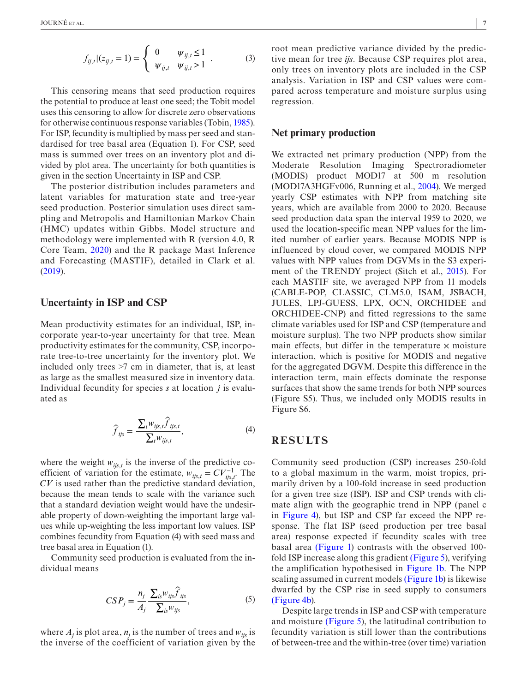$$
f_{ij,t}|(z_{ij,t}=1) = \begin{cases} 0 & \psi_{ij,t} \le 1 \\ \psi_{ij,t} & \psi_{ij,t} > 1 \end{cases} . \tag{3}
$$

This censoring means that seed production requires the potential to produce at least one seed; the Tobit model uses this censoring to allow for discrete zero observations for otherwise continuous response variables (Tobin, [1985\)](#page-11-19). For ISP, fecundity is multiplied by mass per seed and standardised for tree basal area (Equation 1). For CSP, seed mass is summed over trees on an inventory plot and divided by plot area. The uncertainty for both quantities is given in the section Uncertainty in ISP and CSP.

The posterior distribution includes parameters and latent variables for maturation state and tree-year seed production. Posterior simulation uses direct sampling and Metropolis and Hamiltonian Markov Chain (HMC) updates within Gibbs. Model structure and methodology were implemented with R (version 4.0, R Core Team, [2020\)](#page-11-20) and the R package Mast Inference and Forecasting (MASTIF), detailed in Clark et al. ([2019](#page-10-7)).

# **Uncertainty in ISP and CSP**

Mean productivity estimates for an individual, ISP, incorporate year-to-year uncertainty for that tree. Mean productivity estimates for the community, CSP, incorporate tree-to-tree uncertainty for the inventory plot. We included only trees >7 cm in diameter, that is, at least as large as the smallest measured size in inventory data. Individual fecundity for species *s* at location *j* is evaluated as

$$
\widehat{f}_{ijs} = \frac{\sum_{t} w_{ijs,t} \widehat{f}_{ijs,t}}{\sum_{t} w_{ijs,t}},
$$
\n(4)

where the weight  $w_{ijs,t}$  is the inverse of the predictive coefficient of variation for the estimate,  $w_{ijs,t} = CV_{ijs,t}^{-1}$ . The *CV* is used rather than the predictive standard deviation, because the mean tends to scale with the variance such that a standard deviation weight would have the undesirable property of down-weighting the important large values while up-weighting the less important low values. ISP combines fecundity from Equation (4) with seed mass and tree basal area in Equation (1).

Community seed production is evaluated from the individual means

$$
CSP_j = \frac{n_j}{A_j} \frac{\sum_{is} w_{ijs} \hat{f}_{ijs}}{\sum_{is} w_{ijs}},
$$
\n(5)

where  $A_j$  is plot area,  $n_j$  is the number of trees and  $w_{ijs}$  is the inverse of the coefficient of variation given by the

root mean predictive variance divided by the predictive mean for tree *ijs*. Because CSP requires plot area, only trees on inventory plots are included in the CSP analysis. Variation in ISP and CSP values were compared across temperature and moisture surplus using regression.

# **Net primary production**

We extracted net primary production (NPP) from the Moderate Resolution Imaging Spectroradiometer (MODIS) product MOD17 at 500 m resolution (MOD17A3HGFv006, Running et al., [2004\)](#page-11-21). We merged yearly CSP estimates with NPP from matching site years, which are available from 2000 to 2020. Because seed production data span the interval 1959 to 2020, we used the location-specific mean NPP values for the limited number of earlier years. Because MODIS NPP is influenced by cloud cover, we compared MODIS NPP values with NPP values from DGVMs in the S3 experiment of the TRENDY project (Sitch et al., [2015](#page-11-22)). For each MASTIF site, we averaged NPP from 11 models (CABLE-POP, CLASSIC, CLM5.0, ISAM, JSBACH, JULES, LPJ-GUESS, LPX, OCN, ORCHIDEE and ORCHIDEE-CNP) and fitted regressions to the same climate variables used for ISP and CSP (temperature and moisture surplus). The two NPP products show similar main effects, but differ in the temperature  $\times$  moisture interaction, which is positive for MODIS and negative for the aggregated DGVM. Despite this difference in the interaction term, main effects dominate the response surfaces that show the same trends for both NPP sources (Figure S5). Thus, we included only MODIS results in Figure S6.

# **RESULTS**

Community seed production (CSP) increases 250-fold to a global maximum in the warm, moist tropics, primarily driven by a 100-fold increase in seed production for a given tree size (ISP). ISP and CSP trends with climate align with the geographic trend in NPP (panel c in Figure [4\)](#page-7-0), but ISP and CSP far exceed the NPP response. The flat ISP (seed production per tree basal area) response expected if fecundity scales with tree basal area (Figure [1\)](#page-3-0) contrasts with the observed 100 fold ISP increase along this gradient (Figure [5\)](#page-7-1), verifying the amplification hypothesised in Figure [1b.](#page-3-0) The NPP scaling assumed in current models (Figure [1b](#page-3-0)) is likewise dwarfed by the CSP rise in seed supply to consumers (Figure [4b](#page-7-0)).

Despite large trends in ISP and CSP with temperature and moisture (Figure [5](#page-7-1)), the latitudinal contribution to fecundity variation is still lower than the contributions of between-tree and the within-tree (over time) variation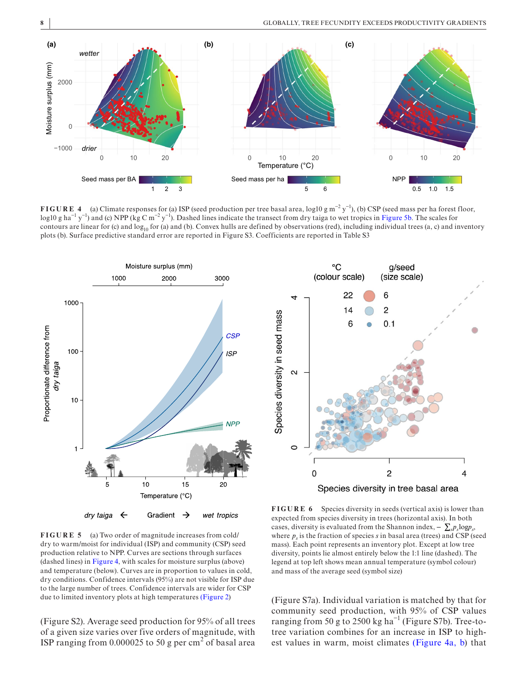

<span id="page-7-0"></span>**FIGURE 4** (a) Climate responses for (a) ISP (seed production per tree basal area, log10 g m<sup>-2</sup> y<sup>-1</sup>), (b) CSP (seed mass per ha forest floor, log10 g ha<sup>-1</sup> y<sup>-1</sup>) and (c) NPP (kg C m<sup>-2</sup> y<sup>-1</sup>). Dashed lines indicate the transect from dry taiga to wet tropics in Figure [5b](#page-7-1). The scales for contours are linear for (c) and  $log_{10}$  for (a) and (b). Convex hulls are defined by observations (red), including individual trees (a, c) and inventory plots (b). Surface predictive standard error are reported in Figure S3. Coefficients are reported in Table S3



<span id="page-7-1"></span>**FIGURE 5** (a) Two order of magnitude increases from cold/ dry to warm/moist for individual (ISP) and community (CSP) seed production relative to NPP. Curves are sections through surfaces (dashed lines) in Figure [4,](#page-7-0) with scales for moisture surplus (above) and temperature (below). Curves are in proportion to values in cold, dry conditions. Confidence intervals (95%) are not visible for ISP due to the large number of trees. Confidence intervals are wider for CSP due to limited inventory plots at high temperatures (Figure [2](#page-4-0))

(Figure S2). Average seed production for 95% of all trees of a given size varies over five orders of magnitude, with ISP ranging from  $0.000025$  to 50 g per cm<sup>2</sup> of basal area



<span id="page-7-2"></span>**FIGURE 6** Species diversity in seeds (vertical axis) is lower than expected from species diversity in trees (horizontal axis). In both cases, diversity is evaluated from the Shannon index,  $-\sum_{s} p_s \log p_s$ , where  $p_s$  is the fraction of species *s* in basal area (trees) and CSP (seed mass). Each point represents an inventory plot. Except at low tree diversity, points lie almost entirely below the 1:1 line (dashed). The legend at top left shows mean annual temperature (symbol colour) and mass of the average seed (symbol size)

(Figure S7a). Individual variation is matched by that for community seed production, with 95% of CSP values ranging from 50 g to 2500 kg ha<sup> $-1$ </sup> (Figure S7b). Tree-totree variation combines for an increase in ISP to highest values in warm, moist climates (Figure [4a, b\)](#page-7-0) that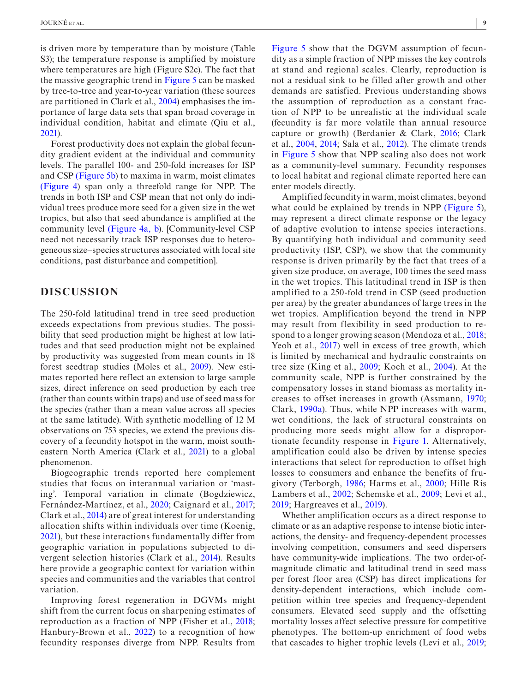is driven more by temperature than by moisture (Table S3); the temperature response is amplified by moisture where temperatures are high (Figure S2c). The fact that the massive geographic trend in Figure [5](#page-7-1) can be masked by tree-to-tree and year-to-year variation (these sources are partitioned in Clark et al., [2004\)](#page-10-15) emphasises the importance of large data sets that span broad coverage in individual condition, habitat and climate (Qiu et al., [2021\)](#page-11-12).

Forest productivity does not explain the global fecundity gradient evident at the individual and community levels. The parallel 100- and 250-fold increases for ISP and CSP (Figure [5b](#page-7-1)) to maxima in warm, moist climates (Figure [4](#page-7-0)) span only a threefold range for NPP. The trends in both ISP and CSP mean that not only do individual trees produce more seed for a given size in the wet tropics, but also that seed abundance is amplified at the community level (Figure [4a, b](#page-7-0)). [Community-level CSP need not necessarily track ISP responses due to heterogeneous size–species structures associated with local site conditions, past disturbance and competition].

# **DISCUSSION**

The 250-fold latitudinal trend in tree seed production exceeds expectations from previous studies. The possibility that seed production might be highest at low latitudes and that seed production might not be explained by productivity was suggested from mean counts in 18 forest seedtrap studies (Moles et al., [2009](#page-11-7)). New estimates reported here reflect an extension to large sample sizes, direct inference on seed production by each tree (rather than counts within traps) and use of seed mass for the species (rather than a mean value across all species at the same latitude). With synthetic modelling of 12 M observations on 753 species, we extend the previous discovery of a fecundity hotspot in the warm, moist southeastern North America (Clark et al., [2021](#page-10-2)) to a global phenomenon.

Biogeographic trends reported here complement studies that focus on interannual variation or 'masting'. Temporal variation in climate (Bogdziewicz, Fernández-Martínez, et al., [2020;](#page-10-16) Caignard et al., [2017;](#page-10-17) Clark et al., [2014](#page-10-18)) are of great interest for understanding allocation shifts within individuals over time (Koenig, [2021](#page-10-14)), but these interactions fundamentally differ from geographic variation in populations subjected to divergent selection histories (Clark et al., [2014](#page-10-18)). Results here provide a geographic context for variation within species and communities and the variables that control variation.

Improving forest regeneration in DGVMs might shift from the current focus on sharpening estimates of reproduction as a fraction of NPP (Fisher et al., [2018;](#page-10-4) Hanbury-Brown et al., [2022](#page-10-5)) to a recognition of how fecundity responses diverge from NPP. Results from

Figure [5](#page-7-1) show that the DGVM assumption of fecundity as a simple fraction of NPP misses the key controls at stand and regional scales. Clearly, reproduction is not a residual sink to be filled after growth and other demands are satisfied. Previous understanding shows the assumption of reproduction as a constant fraction of NPP to be unrealistic at the individual scale (fecundity is far more volatile than annual resource capture or growth) (Berdanier & Clark, [2016;](#page-10-27) Clark et al., [2004,](#page-10-15) [2014;](#page-10-18) Sala et al., [2012\)](#page-11-23). The climate trends in Figure [5](#page-7-1) show that NPP scaling also does not work as a community-level summary. Fecundity responses to local habitat and regional climate reported here can enter models directly.

Amplified fecundity in warm, moist climates, beyond what could be explained by trends in NPP (Figure [5\)](#page-7-1), may represent a direct climate response or the legacy of adaptive evolution to intense species interactions. By quantifying both individual and community seed productivity (ISP, CSP), we show that the community response is driven primarily by the fact that trees of a given size produce, on average, 100 times the seed mass in the wet tropics. This latitudinal trend in ISP is then amplified to a 250-fold trend in CSP (seed production per area) by the greater abundances of large trees in the wet tropics. Amplification beyond the trend in NPP may result from flexibility in seed production to respond to a longer growing season (Mendoza et al., [2018;](#page-11-16) Yeoh et al., [2017](#page-11-24)) well in excess of tree growth, which is limited by mechanical and hydraulic constraints on tree size (King et al., [2009](#page-10-9); Koch et al., [2004](#page-10-10)). At the community scale, NPP is further constrained by the compensatory losses in stand biomass as mortality increases to offset increases in growth (Assmann, [1970;](#page-10-28) Clark, [1990a\)](#page-10-29). Thus, while NPP increases with warm, wet conditions, the lack of structural constraints on producing more seeds might allow for a disproportionate fecundity response in Figure [1.](#page-3-0) Alternatively, amplification could also be driven by intense species interactions that select for reproduction to offset high losses to consumers and enhance the benefits of frugivory (Terborgh, [1986;](#page-11-1) Harms et al., [2000;](#page-10-11) Hille Ris Lambers et al., [2002;](#page-10-12) Schemske et al., [2009](#page-11-14); Levi et al., [2019;](#page-11-15) Hargreaves et al., [2019\)](#page-10-13).

Whether amplification occurs as a direct response to climate or as an adaptive response to intense biotic interactions, the density- and frequency-dependent processes involving competition, consumers and seed dispersers have community-wide implications. The two order-ofmagnitude climatic and latitudinal trend in seed mass per forest floor area (CSP) has direct implications for density-dependent interactions, which include competition within tree species and frequency-dependent consumers. Elevated seed supply and the offsetting mortality losses affect selective pressure for competitive phenotypes. The bottom-up enrichment of food webs that cascades to higher trophic levels (Levi et al., [2019;](#page-11-15)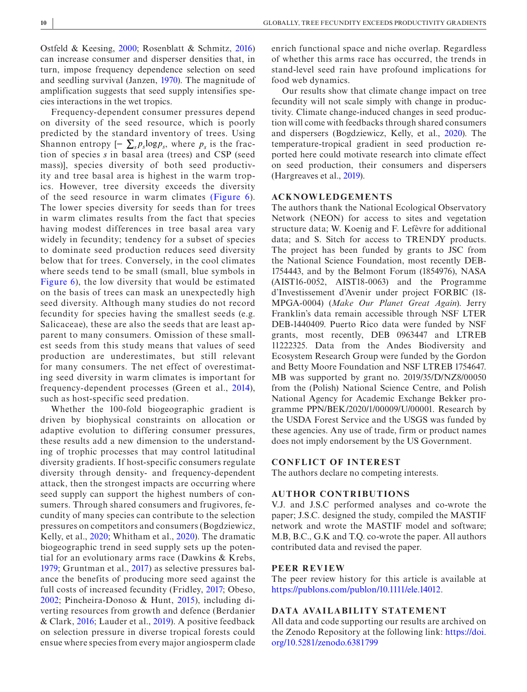Ostfeld & Keesing, [2000;](#page-11-25) Rosenblatt & Schmitz, [2016](#page-11-26)) can increase consumer and disperser densities that, in turn, impose frequency dependence selection on seed and seedling survival (Janzen, [1970\)](#page-10-30). The magnitude of amplification suggests that seed supply intensifies species interactions in the wet tropics.

Frequency-dependent consumer pressures depend on diversity of the seed resource, which is poorly predicted by the standard inventory of trees. Using Shannon entropy  $[-\sum_{s} p_{s} \log p_{s}]$ , where  $p_{s}$  is the fraction of species *s* in basal area (trees) and CSP (seed mass)], species diversity of both seed productivity and tree basal area is highest in the warm tropics. However, tree diversity exceeds the diversity of the seed resource in warm climates (Figure [6](#page-7-2)). The lower species diversity for seeds than for trees in warm climates results from the fact that species having modest differences in tree basal area vary widely in fecundity; tendency for a subset of species to dominate seed production reduces seed diversity below that for trees. Conversely, in the cool climates where seeds tend to be small (small, blue symbols in Figure [6](#page-7-2)), the low diversity that would be estimated on the basis of trees can mask an unexpectedly high seed diversity. Although many studies do not record fecundity for species having the smallest seeds (e.g. Salicaceae), these are also the seeds that are least apparent to many consumers. Omission of these smallest seeds from this study means that values of seed production are underestimates, but still relevant for many consumers. The net effect of overestimating seed diversity in warm climates is important for frequency-dependent processes (Green et al., [2014](#page-10-31)), such as host-specific seed predation.

Whether the 100-fold biogeographic gradient is driven by biophysical constraints on allocation or adaptive evolution to differing consumer pressures, these results add a new dimension to the understanding of trophic processes that may control latitudinal diversity gradients. If host-specific consumers regulate diversity through density- and frequency-dependent attack, then the strongest impacts are occurring where seed supply can support the highest numbers of consumers. Through shared consumers and frugivores, fecundity of many species can contribute to the selection pressures on competitors and consumers (Bogdziewicz, Kelly, et al., [2020](#page-10-32); Whitham et al., [2020\)](#page-11-27). The dramatic biogeographic trend in seed supply sets up the potential for an evolutionary arms race (Dawkins & Krebs, [1979](#page-10-33); Gruntman et al., [2017](#page-10-34)) as selective pressures balance the benefits of producing more seed against the full costs of increased fecundity (Fridley, [2017;](#page-10-35) Obeso, [2002](#page-11-28); Pincheira-Donoso & Hunt, [2015](#page-11-29)), including diverting resources from growth and defence (Berdanier & Clark, [2016](#page-10-27); Lauder et al., [2019\)](#page-11-30). A positive feedback on selection pressure in diverse tropical forests could ensue where species from every major angiosperm clade

enrich functional space and niche overlap. Regardless of whether this arms race has occurred, the trends in stand-level seed rain have profound implications for food web dynamics.

Our results show that climate change impact on tree fecundity will not scale simply with change in productivity. Climate change-induced changes in seed production will come with feedbacks through shared consumers and dispersers (Bogdziewicz, Kelly, et al., [2020](#page-10-32)). The temperature-tropical gradient in seed production reported here could motivate research into climate effect on seed production, their consumers and dispersers (Hargreaves et al., [2019\)](#page-10-13).

#### **ACKNOWLEDGEMENTS**

The authors thank the National Ecological Observatory Network (NEON) for access to sites and vegetation structure data; W. Koenig and F. Lefèvre for additional data; and S. Sitch for access to TRENDY products. The project has been funded by grants to JSC from the National Science Foundation, most recently DEB-1754443, and by the Belmont Forum (1854976), NASA (AIST16-0052, AIST18-0063) and the Programme d'Investissement d'Avenir under project FORBIC (18- MPGA-0004) (*Make Our Planet Great Again*). Jerry Franklin's data remain accessible through NSF LTER DEB-1440409. Puerto Rico data were funded by NSF grants, most recently, DEB 0963447 and LTREB 11222325. Data from the Andes Biodiversity and Ecosystem Research Group were funded by the Gordon and Betty Moore Foundation and NSF LTREB 1754647. MB was supported by grant no. 2019/35/D/NZ8/00050 from the (Polish) National Science Centre, and Polish National Agency for Academic Exchange Bekker programme PPN/BEK/2020/1/00009/U/00001. Research by the USDA Forest Service and the USGS was funded by these agencies. Any use of trade, firm or product names does not imply endorsement by the US Government.

#### **CONFLICT OF INTEREST**

The authors declare no competing interests.

#### **AUTHOR CONTRIBUTIONS**

V.J. and J.S.C performed analyses and co-wrote the paper; J.S.C. designed the study, compiled the MASTIF network and wrote the MASTIF model and software; M.B, B.C., G.K and T.Q. co-wrote the paper. All authors contributed data and revised the paper.

#### **PEER REVIEW**

The peer review history for this article is available at <https://publons.com/publon/10.1111/ele.14012>.

#### **DATA AVAILABILITY STATEMENT**

All data and code supporting our results are archived on the Zenodo Repository at the following link: [https://doi.](https://doi.org/10.5281/zenodo.6381799) [org/10.5281/zenodo.6381799](https://doi.org/10.5281/zenodo.6381799)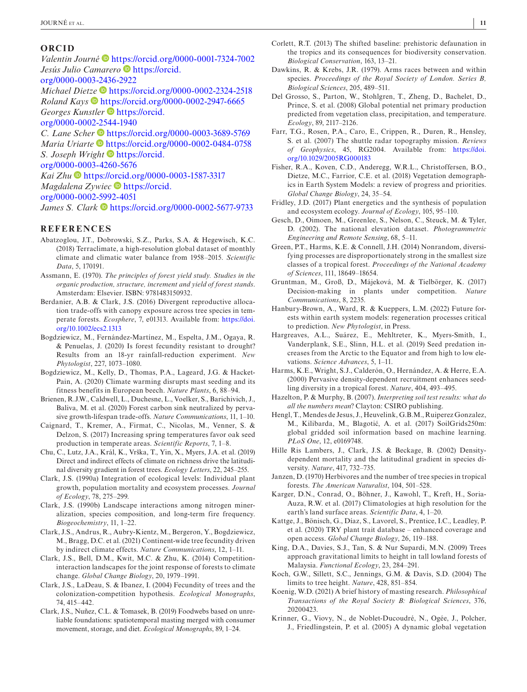#### **ORCID**

*Valentin Journé* <https://orcid.org/0000-0001-7324-7002> *Jesús Julio Camarero* **·** [https://orcid.](https://orcid.org/0000-0003-2436-2922) [org/0000-0003-2436-2922](https://orcid.org/0000-0003-2436-2922)

*Michael Die[tze](https://orcid.org/0000-0002-2947-6665)* <https://orcid.org/0000-0002-2324-2518> *Roland Kays* • <https://orcid.org/0000-0002-2947-6665> *Georges Kunstler* **[https://orcid.](https://orcid.org/0000-0002-2544-1940)** 

[org/0000-0002-2544-1940](https://orcid.org/0000-0002-2544-1940)

*C. Lane Sche[r](https://orcid.org/0000-0002-0484-0758)*  $\bullet$  <https://orcid.org/0000-0003-3689-5769> *Maria Uriarte* • <https://orcid.org/0000-0002-0484-0758> *S. Joseph Wright*  $\bullet$  [https://orcid.](https://orcid.org/0000-0003-4260-5676)

[org/0000-0003-4260-5676](https://orcid.org/0000-0003-4260-5676)

*Kai Zhu* <https://orcid.org/0000-0003-1587-3317> *Magdalena Zywiec* **[https://orcid.](https://orcid.org/0000-0002-5992-4051)** 

[org/0000-0002-5992-4051](https://orcid.org/0000-0002-5992-4051)

James S. Clark **b** <https://orcid.org/0000-0002-5677-9733>

## **REFERENCES**

- <span id="page-10-23"></span>Abatzoglou, J.T., Dobrowski, S.Z., Parks, S.A. & Hegewisch, K.C. (2018) Terraclimate, a high-resolution global dataset of monthly climate and climatic water balance from 1958–2015. *Scientific Data*, 5, 170191.
- <span id="page-10-28"></span>Assmann, E. (1970). *The principles of forest yield study. Studies in the organic production, structure, increment and yield of forest stands*. Amsterdam: Elsevier. ISBN: 9781483150932.
- <span id="page-10-27"></span>Berdanier, A.B. & Clark, J.S. (2016) Divergent reproductive allocation trade-offs with canopy exposure across tree species in temperate forests. *Ecosphere*, 7, e01313. Available from: [https://doi.](https://doi.org/10.1002/ecs2.1313) [org/10.1002/ecs2.1313](https://doi.org/10.1002/ecs2.1313)
- <span id="page-10-16"></span>Bogdziewicz, M., Fernández-Martínez, M., Espelta, J.M., Ogaya, R. & Penuelas, J. (2020) Is forest fecundity resistant to drought? Results from an 18-yr rainfall-reduction experiment. *New Phytologist*, 227, 1073–1080.
- <span id="page-10-32"></span>Bogdziewicz, M., Kelly, D., Thomas, P.A., Lageard, J.G. & Hacket-Pain, A. (2020) Climate warming disrupts mast seeding and its fitness benefits in European beech. *Nature Plants*, 6, 88–94.
- <span id="page-10-3"></span>Brienen, R.J.W., Caldwell, L., Duchesne, L., Voelker, S., Barichivich, J., Baliva, M. et al. (2020) Forest carbon sink neutralized by pervasive growth-lifespan trade-offs. *Nature Communications*, 11, 1–10.
- <span id="page-10-17"></span>Caignard, T., Kremer, A., Firmat, C., Nicolas, M., Venner, S. & Delzon, S. (2017) Increasing spring temperatures favor oak seed production in temperate areas. *Scientific Reports*, 7, 1–8.
- <span id="page-10-1"></span>Chu, C., Lutz, J.A., Král, K., Vrška, T., Yin, X., Myers, J.A. et al. (2019) Direct and indirect effects of climate on richness drive the latitudinal diversity gradient in forest trees. *Ecology Letters*, 22, 245–255.
- <span id="page-10-29"></span>Clark, J.S. (1990a) Integration of ecological levels: Individual plant growth, population mortality and ecosystem processes. *Journal of Ecology*, 78, 275–299.
- <span id="page-10-26"></span>Clark, J.S. (1990b) Landscape interactions among nitrogen mineralization, species composition, and long-term fire frequency. *Biogeochemistry*, 11, 1–22.
- <span id="page-10-2"></span>Clark, J.S., Andrus, R., Aubry-Kientz, M., Bergeron, Y., Bogdziewicz, M., Bragg, D.C. et al. (2021) Continent-wide tree fecundity driven by indirect climate effects. *Nature Communications*, 12, 1–11.
- <span id="page-10-18"></span>Clark, J.S., Bell, D.M., Kwit, M.C. & Zhu, K. (2014) Competitioninteraction landscapes for the joint response of forests to climate change. *Global Change Biology*, 20, 1979–1991.
- <span id="page-10-15"></span>Clark, J.S., LaDeau, S. & Ibanez, I. (2004) Fecundity of trees and the colonization-competition hypothesis. *Ecological Monographs*, 74, 415–442.
- <span id="page-10-7"></span>Clark, J.S., Nuñez, C.L. & Tomasek, B. (2019) Foodwebs based on unreliable foundations: spatiotemporal masting merged with consumer movement, storage, and diet. *Ecological Monographs*, 89, 1–24.
- <span id="page-10-0"></span>Corlett, R.T. (2013) The shifted baseline: prehistoric defaunation in the tropics and its consequences for biodiversity conservation. *Biological Conservation*, 163, 13–21.
- <span id="page-10-33"></span>Dawkins, R. & Krebs, J.R. (1979). Arms races between and within species. *Proceedings of the Royal Society of London. Series B, Biological Sciences*, 205, 489–511.
- <span id="page-10-8"></span>Del Grosso, S., Parton, W., Stohlgren, T., Zheng, D., Bachelet, D., Prince, S. et al. (2008) Global potential net primary production predicted from vegetation class, precipitation, and temperature. *Ecology*, 89, 2117–2126.
- <span id="page-10-24"></span>Farr, T.G., Rosen, P.A., Caro, E., Crippen, R., Duren, R., Hensley, S. et al. (2007) The shuttle radar topography mission. *Reviews of Geophysics*, 45, RG2004. Available from: [https://doi.](https://doi.org/10.1029/2005RG000183) [org/10.1029/2005RG000183](https://doi.org/10.1029/2005RG000183)
- <span id="page-10-4"></span>Fisher, R.A., Koven, C.D., Anderegg, W.R.L., Christoffersen, B.O., Dietze, M.C., Farrior, C.E. et al. (2018) Vegetation demographics in Earth System Models: a review of progress and priorities. *Global Change Biology*, 24, 35–54.
- <span id="page-10-35"></span>Fridley, J.D. (2017) Plant energetics and the synthesis of population and ecosystem ecology. *Journal of Ecology*, 105, 95–110.
- <span id="page-10-25"></span>Gesch, D., Oimoen, M., Greenlee, S., Nelson, C., Steuck, M. & Tyler, D. (2002). The national elevation dataset. *Photogrammetric Engineering and Remote Sensing*, 68, 5–11.
- <span id="page-10-31"></span>Green, P.T., Harms, K.E. & Connell, J.H. (2014) Nonrandom, diversifying processes are disproportionately strong in the smallest size classes of a tropical forest. *Proceedings of the National Academy of Sciences*, 111, 18649–18654.
- <span id="page-10-34"></span>Gruntman, M., Groß, D., Májeková, M. & Tielbörger, K. (2017) Decision-making in plants under competition. *Nature Communications*, 8, 2235.
- <span id="page-10-5"></span>Hanbury-Brown, A., Ward, R. & Kueppers, L.M. (2022) Future forests within earth system models: regeneration processes critical to prediction. *New Phytologist*, in Press.
- <span id="page-10-13"></span>Hargreaves, A.L., Suárez, E., Mehltreter, K., Myers-Smith, I., Vanderplank, S.E., Slinn, H.L. et al. (2019) Seed predation increases from the Arctic to the Equator and from high to low elevations. *Science Advances*, 5, 1–11.
- <span id="page-10-11"></span>Harms, K.E., Wright, S.J., Calderón, O., Hernández, A. & Herre, E.A. (2000) Pervasive density-dependent recruitment enhances seedling diversity in a tropical forest. *Nature*, 404, 493–495.
- <span id="page-10-19"></span>Hazelton, P. & Murphy, B. (2007). *Interpreting soil test results: what do all the numbers mean*? Clayton: CSIRO publishing.
- <span id="page-10-20"></span>Hengl, T., Mendes de Jesus, J., Heuvelink, G.B.M., Ruiperez Gonzalez, M., Kilibarda, M., Blagotić, A. et al. (2017) SoilGrids250m: global gridded soil information based on machine learning. *PLoS One*, 12, e0169748.
- <span id="page-10-12"></span>Hille Ris Lambers, J., Clark, J.S. & Beckage, B. (2002) Densitydependent mortality and the latitudinal gradient in species diversity. *Nature*, 417, 732–735.
- <span id="page-10-30"></span>Janzen, D. (1970) Herbivores and the number of tree species in tropical forests. *The American Naturalist*, 104, 501–528.
- <span id="page-10-22"></span>Karger, D.N., Conrad, O., Böhner, J., Kawohl, T., Kreft, H., Soria-Auza, R.W. et al. (2017) Climatologies at high resolution for the earth's land surface areas. *Scientific Data*, 4, 1–20.
- <span id="page-10-21"></span>Kattge, J., Bönisch, G., Díaz, S., Lavorel, S., Prentice, I.C., Leadley, P. et al. (2020) TRY plant trait database – enhanced coverage and open access. *Global Change Biology*, 26, 119–188.
- <span id="page-10-9"></span>King, D.A., Davies, S.J., Tan, S. & Nur Supardi, M.N. (2009) Trees approach gravitational limits to height in tall lowland forests of Malaysia. *Functional Ecology*, 23, 284–291.
- <span id="page-10-10"></span>Koch, G.W., Sillett, S.C., Jennings, G.M. & Davis, S.D. (2004) The limits to tree height. *Nature*, 428, 851–854.
- <span id="page-10-14"></span>Koenig, W.D. (2021) A brief history of masting research. *Philosophical Transactions of the Royal Society B: Biological Sciences*, 376, 20200423.
- <span id="page-10-6"></span>Krinner, G., Viovy, N., de Noblet-Ducoudré, N., Ogée, J., Polcher, J., Friedlingstein, P. et al. (2005) A dynamic global vegetation